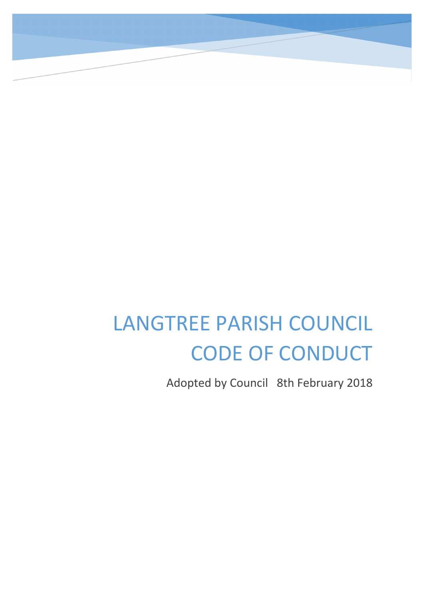# LANGTREE PARISH COUNCIL CODE OF CONDUCT

Adopted by Council 8th February 2018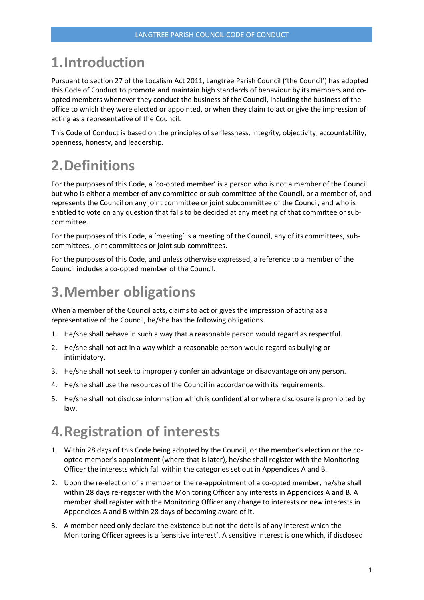# 1.Introduction

Pursuant to section 27 of the Localism Act 2011, Langtree Parish Council ('the Council') has adopted this Code of Conduct to promote and maintain high standards of behaviour by its members and coopted members whenever they conduct the business of the Council, including the business of the office to which they were elected or appointed, or when they claim to act or give the impression of acting as a representative of the Council.

This Code of Conduct is based on the principles of selflessness, integrity, objectivity, accountability, openness, honesty, and leadership.

# 2.Definitions

For the purposes of this Code, a 'co-opted member' is a person who is not a member of the Council but who is either a member of any committee or sub-committee of the Council, or a member of, and represents the Council on any joint committee or joint subcommittee of the Council, and who is entitled to vote on any question that falls to be decided at any meeting of that committee or subcommittee.

For the purposes of this Code, a 'meeting' is a meeting of the Council, any of its committees, subcommittees, joint committees or joint sub-committees.

For the purposes of this Code, and unless otherwise expressed, a reference to a member of the Council includes a co-opted member of the Council.

# 3.Member obligations

When a member of the Council acts, claims to act or gives the impression of acting as a representative of the Council, he/she has the following obligations.

- 1. He/she shall behave in such a way that a reasonable person would regard as respectful.
- 2. He/she shall not act in a way which a reasonable person would regard as bullying or intimidatory.
- 3. He/she shall not seek to improperly confer an advantage or disadvantage on any person.
- 4. He/she shall use the resources of the Council in accordance with its requirements.
- 5. He/she shall not disclose information which is confidential or where disclosure is prohibited by law.

# 4.Registration of interests

- 1. Within 28 days of this Code being adopted by the Council, or the member's election or the coopted member's appointment (where that is later), he/she shall register with the Monitoring Officer the interests which fall within the categories set out in Appendices A and B.
- 2. Upon the re-election of a member or the re-appointment of a co-opted member, he/she shall within 28 days re-register with the Monitoring Officer any interests in Appendices A and B. A member shall register with the Monitoring Officer any change to interests or new interests in Appendices A and B within 28 days of becoming aware of it.
- 3. A member need only declare the existence but not the details of any interest which the Monitoring Officer agrees is a 'sensitive interest'. A sensitive interest is one which, if disclosed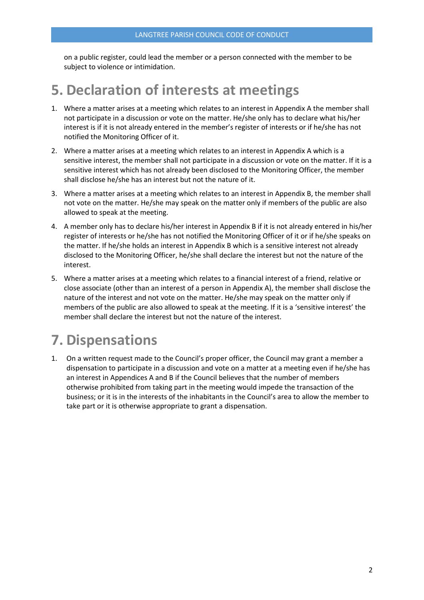on a public register, could lead the member or a person connected with the member to be subject to violence or intimidation.

# 5. Declaration of interests at meetings

- 1. Where a matter arises at a meeting which relates to an interest in Appendix A the member shall not participate in a discussion or vote on the matter. He/she only has to declare what his/her interest is if it is not already entered in the member's register of interests or if he/she has not notified the Monitoring Officer of it.
- 2. Where a matter arises at a meeting which relates to an interest in Appendix A which is a sensitive interest, the member shall not participate in a discussion or vote on the matter. If it is a sensitive interest which has not already been disclosed to the Monitoring Officer, the member shall disclose he/she has an interest but not the nature of it.
- 3. Where a matter arises at a meeting which relates to an interest in Appendix B, the member shall not vote on the matter. He/she may speak on the matter only if members of the public are also allowed to speak at the meeting.
- 4. A member only has to declare his/her interest in Appendix B if it is not already entered in his/her register of interests or he/she has not notified the Monitoring Officer of it or if he/she speaks on the matter. If he/she holds an interest in Appendix B which is a sensitive interest not already disclosed to the Monitoring Officer, he/she shall declare the interest but not the nature of the interest.
- 5. Where a matter arises at a meeting which relates to a financial interest of a friend, relative or close associate (other than an interest of a person in Appendix A), the member shall disclose the nature of the interest and not vote on the matter. He/she may speak on the matter only if members of the public are also allowed to speak at the meeting. If it is a 'sensitive interest' the member shall declare the interest but not the nature of the interest.

# 7. Dispensations

1. On a written request made to the Council's proper officer, the Council may grant a member a dispensation to participate in a discussion and vote on a matter at a meeting even if he/she has an interest in Appendices A and B if the Council believes that the number of members otherwise prohibited from taking part in the meeting would impede the transaction of the business; or it is in the interests of the inhabitants in the Council's area to allow the member to take part or it is otherwise appropriate to grant a dispensation.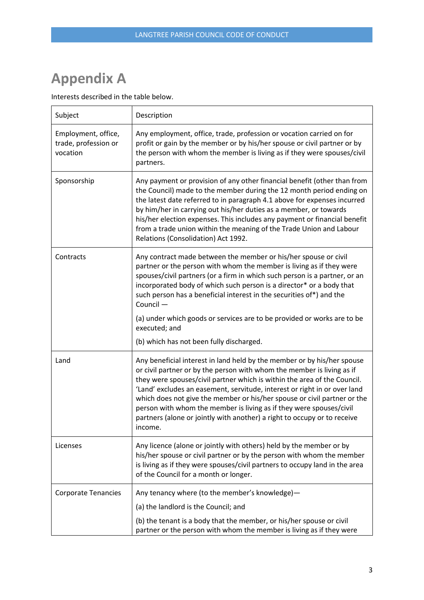# Appendix A

Interests described in the table below.

| Subject                                                 | Description                                                                                                                                                                                                                                                                                                                                                                                                                                                                                                                                          |
|---------------------------------------------------------|------------------------------------------------------------------------------------------------------------------------------------------------------------------------------------------------------------------------------------------------------------------------------------------------------------------------------------------------------------------------------------------------------------------------------------------------------------------------------------------------------------------------------------------------------|
| Employment, office,<br>trade, profession or<br>vocation | Any employment, office, trade, profession or vocation carried on for<br>profit or gain by the member or by his/her spouse or civil partner or by<br>the person with whom the member is living as if they were spouses/civil<br>partners.                                                                                                                                                                                                                                                                                                             |
| Sponsorship                                             | Any payment or provision of any other financial benefit (other than from<br>the Council) made to the member during the 12 month period ending on<br>the latest date referred to in paragraph 4.1 above for expenses incurred<br>by him/her in carrying out his/her duties as a member, or towards<br>his/her election expenses. This includes any payment or financial benefit<br>from a trade union within the meaning of the Trade Union and Labour<br>Relations (Consolidation) Act 1992.                                                         |
| Contracts                                               | Any contract made between the member or his/her spouse or civil<br>partner or the person with whom the member is living as if they were<br>spouses/civil partners (or a firm in which such person is a partner, or an<br>incorporated body of which such person is a director* or a body that<br>such person has a beneficial interest in the securities of*) and the<br>Council -<br>(a) under which goods or services are to be provided or works are to be<br>executed; and                                                                       |
|                                                         | (b) which has not been fully discharged.                                                                                                                                                                                                                                                                                                                                                                                                                                                                                                             |
| Land                                                    | Any beneficial interest in land held by the member or by his/her spouse<br>or civil partner or by the person with whom the member is living as if<br>they were spouses/civil partner which is within the area of the Council.<br>'Land' excludes an easement, servitude, interest or right in or over land<br>which does not give the member or his/her spouse or civil partner or the<br>person with whom the member is living as if they were spouses/civil<br>partners (alone or jointly with another) a right to occupy or to receive<br>income. |
| Licenses                                                | Any licence (alone or jointly with others) held by the member or by<br>his/her spouse or civil partner or by the person with whom the member<br>is living as if they were spouses/civil partners to occupy land in the area<br>of the Council for a month or longer.                                                                                                                                                                                                                                                                                 |
| <b>Corporate Tenancies</b>                              | Any tenancy where (to the member's knowledge)-<br>(a) the landlord is the Council; and<br>(b) the tenant is a body that the member, or his/her spouse or civil<br>partner or the person with whom the member is living as if they were                                                                                                                                                                                                                                                                                                               |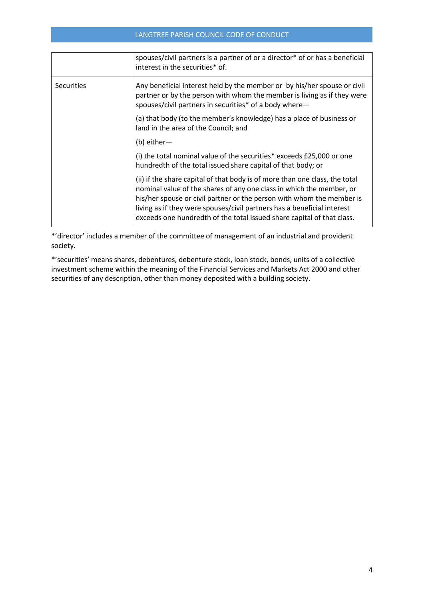### LANGTREE PARISH COUNCIL CODE OF CONDUCT

|                   | spouses/civil partners is a partner of or a director* of or has a beneficial<br>interest in the securities* of.                                                                                                                                                                                                                                                                   |
|-------------------|-----------------------------------------------------------------------------------------------------------------------------------------------------------------------------------------------------------------------------------------------------------------------------------------------------------------------------------------------------------------------------------|
| <b>Securities</b> | Any beneficial interest held by the member or by his/her spouse or civil<br>partner or by the person with whom the member is living as if they were<br>spouses/civil partners in securities* of a body where-                                                                                                                                                                     |
|                   | (a) that body (to the member's knowledge) has a place of business or<br>land in the area of the Council; and                                                                                                                                                                                                                                                                      |
|                   | $(b)$ either —                                                                                                                                                                                                                                                                                                                                                                    |
|                   | (i) the total nominal value of the securities* exceeds £25,000 or one<br>hundredth of the total issued share capital of that body; or                                                                                                                                                                                                                                             |
|                   | (ii) if the share capital of that body is of more than one class, the total<br>nominal value of the shares of any one class in which the member, or<br>his/her spouse or civil partner or the person with whom the member is<br>living as if they were spouses/civil partners has a beneficial interest<br>exceeds one hundredth of the total issued share capital of that class. |

\*'director' includes a member of the committee of management of an industrial and provident society.

\*'securities' means shares, debentures, debenture stock, loan stock, bonds, units of a collective investment scheme within the meaning of the Financial Services and Markets Act 2000 and other securities of any description, other than money deposited with a building society.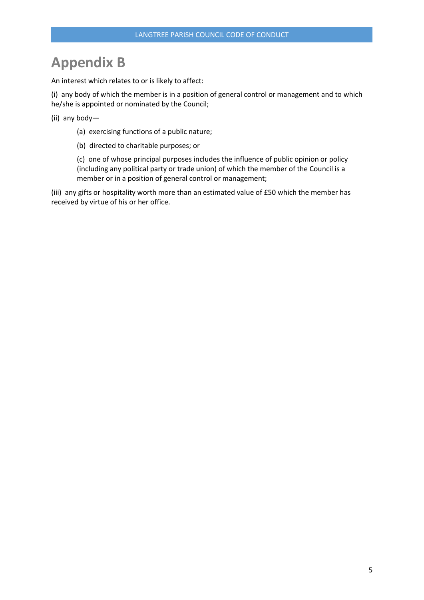# Appendix B

An interest which relates to or is likely to affect:

(i) any body of which the member is in a position of general control or management and to which he/she is appointed or nominated by the Council;

- (ii) any body—
	- (a) exercising functions of a public nature;
	- (b) directed to charitable purposes; or

(c) one of whose principal purposes includes the influence of public opinion or policy (including any political party or trade union) of which the member of the Council is a member or in a position of general control or management;

(iii) any gifts or hospitality worth more than an estimated value of £50 which the member has received by virtue of his or her office.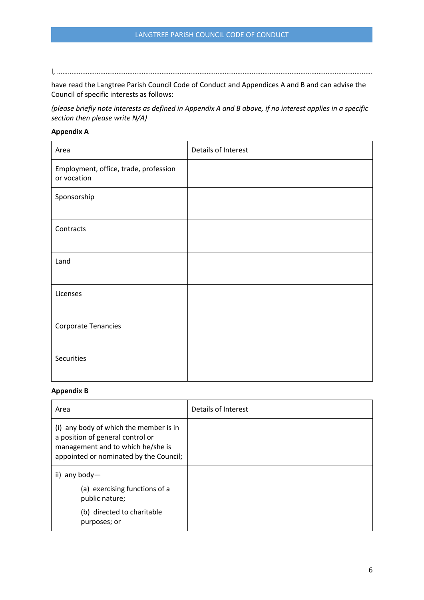I, ………………………………………………………………………………………………………………………………………………………….

have read the Langtree Parish Council Code of Conduct and Appendices A and B and can advise the Council of specific interests as follows:

*(please briefly note interests as defined in Appendix A and B above, if no interest applies in a specific section then please write N/A)*

### Appendix A

| Area                                                 | Details of Interest |
|------------------------------------------------------|---------------------|
| Employment, office, trade, profession<br>or vocation |                     |
| Sponsorship                                          |                     |
| Contracts                                            |                     |
| Land                                                 |                     |
| Licenses                                             |                     |
| <b>Corporate Tenancies</b>                           |                     |
| Securities                                           |                     |

### Appendix B

| Area                                                                                                                                                      | Details of Interest |
|-----------------------------------------------------------------------------------------------------------------------------------------------------------|---------------------|
| (i) any body of which the member is in<br>a position of general control or<br>management and to which he/she is<br>appointed or nominated by the Council; |                     |
| ii) any body-                                                                                                                                             |                     |
| (a) exercising functions of a<br>public nature;                                                                                                           |                     |
| (b) directed to charitable<br>purposes; or                                                                                                                |                     |